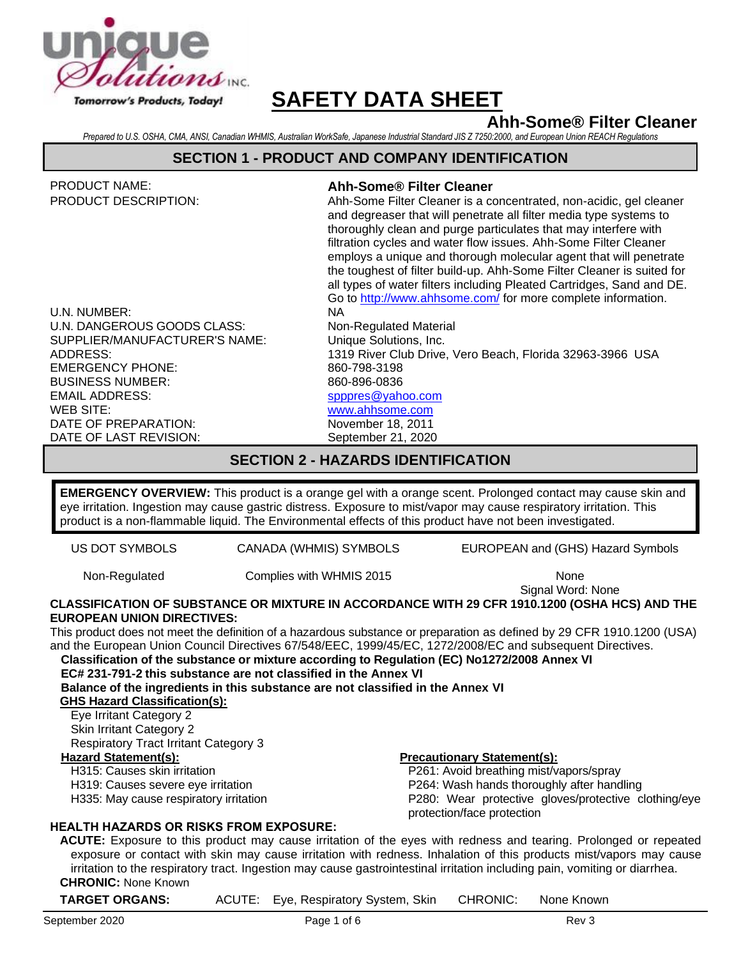

# **Ahh-Some® Filter Cleaner**

*Prepared to U.S. OSHA, CMA, ANSI, Canadian WHMIS, Australian WorkSafe, Japanese Industrial Standard JIS Z 7250:2000, and European Union REACH Regulations*

#### **SECTION 1 - PRODUCT AND COMPANY IDENTIFICATION**

| <b>PRODUCT NAME:</b>          | Ahh-Some® Filter Cleaner                                                                                                                                                                                                                                                                                                                                                                                                                                                                                                                                                |
|-------------------------------|-------------------------------------------------------------------------------------------------------------------------------------------------------------------------------------------------------------------------------------------------------------------------------------------------------------------------------------------------------------------------------------------------------------------------------------------------------------------------------------------------------------------------------------------------------------------------|
| <b>PRODUCT DESCRIPTION:</b>   | Ahh-Some Filter Cleaner is a concentrated, non-acidic, gel cleaner<br>and degreaser that will penetrate all filter media type systems to<br>thoroughly clean and purge particulates that may interfere with<br>filtration cycles and water flow issues. Ahh-Some Filter Cleaner<br>employs a unique and thorough molecular agent that will penetrate<br>the toughest of filter build-up. Ahh-Some Filter Cleaner is suited for<br>all types of water filters including Pleated Cartridges, Sand and DE.<br>Go to http://www.ahhsome.com/ for more complete information. |
| U.N. NUMBER:                  | NA.                                                                                                                                                                                                                                                                                                                                                                                                                                                                                                                                                                     |
| U.N. DANGEROUS GOODS CLASS:   | Non-Regulated Material                                                                                                                                                                                                                                                                                                                                                                                                                                                                                                                                                  |
| SUPPLIER/MANUFACTURER'S NAME: | Unique Solutions, Inc.                                                                                                                                                                                                                                                                                                                                                                                                                                                                                                                                                  |
| ADDRESS:                      | 1319 River Club Drive, Vero Beach, Florida 32963-3966 USA                                                                                                                                                                                                                                                                                                                                                                                                                                                                                                               |
| <b>EMERGENCY PHONE:</b>       | 860-798-3198                                                                                                                                                                                                                                                                                                                                                                                                                                                                                                                                                            |
| <b>BUSINESS NUMBER:</b>       | 860-896-0836                                                                                                                                                                                                                                                                                                                                                                                                                                                                                                                                                            |
| <b>EMAIL ADDRESS:</b>         | spppres@yahoo.com                                                                                                                                                                                                                                                                                                                                                                                                                                                                                                                                                       |
| WEB SITE:                     | www.ahhsome.com                                                                                                                                                                                                                                                                                                                                                                                                                                                                                                                                                         |
| DATE OF PREPARATION:          | November 18, 2011                                                                                                                                                                                                                                                                                                                                                                                                                                                                                                                                                       |
| DATE OF LAST REVISION:        | September 21, 2020                                                                                                                                                                                                                                                                                                                                                                                                                                                                                                                                                      |

### **SECTION 2 - HAZARDS IDENTIFICATION**

**EMERGENCY OVERVIEW:** This product is a orange gel with a orange scent. Prolonged contact may cause skin and eye irritation. Ingestion may cause gastric distress. Exposure to mist/vapor may cause respiratory irritation. This product is a non-flammable liquid. The Environmental effects of this product have not been investigated.

US DOT SYMBOLS CANADA (WHMIS) SYMBOLS EUROPEAN and (GHS) Hazard Symbols

Non-Regulated Complies with WHMIS 2015

Signal Word: None

#### **CLASSIFICATION OF SUBSTANCE OR MIXTURE IN ACCORDANCE WITH 29 CFR 1910.1200 (OSHA HCS) AND THE EUROPEAN UNION DIRECTIVES:**

This product does not meet the definition of a hazardous substance or preparation as defined by 29 CFR 1910.1200 (USA) and the European Union Council Directives 67/548/EEC, 1999/45/EC, 1272/2008/EC and subsequent Directives.

**Classification of the substance or mixture according to Regulation (EC) No1272/2008 Annex VI**

**EC# 231-791-2 this substance are not classified in the Annex VI** 

**Balance of the ingredients in this substance are not classified in the Annex VI GHS Hazard Classification(s):**

Eye Irritant Category 2 Skin Irritant Category 2 Respiratory Tract Irritant Category 3

### H315: Causes skin irritation

H319: Causes severe eye irritation

H335: May cause respiratory irritation

#### **Hazard Statement(s): Precautionary Statement(s):**

P261: Avoid breathing mist/vapors/spray P264: Wash hands thoroughly after handling P280: Wear protective gloves/protective clothing/eye protection/face protection

#### **HEALTH HAZARDS OR RISKS FROM EXPOSURE:**

**ACUTE:** Exposure to this product may cause irritation of the eyes with redness and tearing. Prolonged or repeated exposure or contact with skin may cause irritation with redness. Inhalation of this products mist/vapors may cause irritation to the respiratory tract. Ingestion may cause gastrointestinal irritation including pain, vomiting or diarrhea. **CHRONIC:** None Known

| <b>TARGET ORGANS:</b> |  | ACUTE: Eye, Respiratory System, Skin |  | CHRONIC: | None Known |
|-----------------------|--|--------------------------------------|--|----------|------------|
|-----------------------|--|--------------------------------------|--|----------|------------|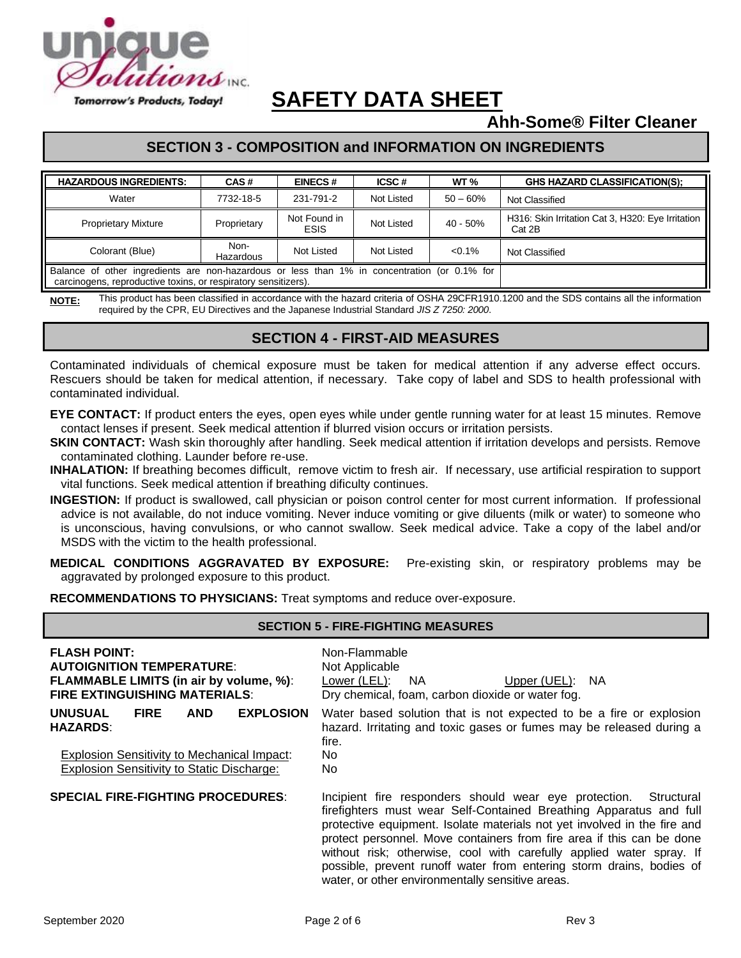

# **Ahh-Some® Filter Cleaner**

# **SECTION 3 - COMPOSITION and INFORMATION ON INGREDIENTS**

| <b>HAZARDOUS INGREDIENTS:</b>                                                                                                                                  | CAS#              | <b>EINECS#</b>              | ICSC#      | WT <sub>%</sub> | <b>GHS HAZARD CLASSIFICATION(S):</b>                        |
|----------------------------------------------------------------------------------------------------------------------------------------------------------------|-------------------|-----------------------------|------------|-----------------|-------------------------------------------------------------|
| Water                                                                                                                                                          | 7732-18-5         | 231-791-2                   | Not Listed | $50 - 60%$      | Not Classified                                              |
| <b>Proprietary Mixture</b>                                                                                                                                     | Proprietary       | Not Found in<br><b>ESIS</b> | Not Listed | $40 - 50\%$     | H316: Skin Irritation Cat 3, H320: Eye Irritation<br>Cat 2B |
| Colorant (Blue)                                                                                                                                                | Non-<br>Hazardous | Not Listed                  | Not Listed | $< 0.1\%$       | Not Classified                                              |
| Balance of other ingredients are non-hazardous or less than 1% in concentration (or 0.1% for<br>carcinogens, reproductive toxins, or respiratory sensitizers). |                   |                             |            |                 |                                                             |

NOTE: This product has been classified in accordance with the hazard criteria of OSHA 29CFR1910.1200 and the SDS contains all the information required by the CPR, EU Directives and the Japanese Industrial Standard *JIS Z 7250: 2000*.

### **SECTION 4 - FIRST-AID MEASURES**

Contaminated individuals of chemical exposure must be taken for medical attention if any adverse effect occurs. Rescuers should be taken for medical attention, if necessary. Take copy of label and SDS to health professional with contaminated individual.

- **EYE CONTACT:** If product enters the eyes, open eyes while under gentle running water for at least 15 minutes. Remove contact lenses if present. Seek medical attention if blurred vision occurs or irritation persists.
- **SKIN CONTACT:** Wash skin thoroughly after handling. Seek medical attention if irritation develops and persists. Remove contaminated clothing. Launder before re-use.
- **INHALATION:** If breathing becomes difficult, remove victim to fresh air. If necessary, use artificial respiration to support vital functions. Seek medical attention if breathing dificulty continues.
- **INGESTION:** If product is swallowed, call physician or poison control center for most current information. If professional advice is not available, do not induce vomiting. Never induce vomiting or give diluents (milk or water) to someone who is unconscious, having convulsions, or who cannot swallow. Seek medical advice. Take a copy of the label and/or MSDS with the victim to the health professional.
- **MEDICAL CONDITIONS AGGRAVATED BY EXPOSURE:** Pre-existing skin, or respiratory problems may be aggravated by prolonged exposure to this product.

**RECOMMENDATIONS TO PHYSICIANS:** Treat symptoms and reduce over-exposure.

| <b>SECTION 5 - FIRE-FIGHTING MEASURES</b>                                                                                                                                              |                                                                                                                                                                                                                                                                                                                                                                                                                                                                                                    |  |  |  |  |
|----------------------------------------------------------------------------------------------------------------------------------------------------------------------------------------|----------------------------------------------------------------------------------------------------------------------------------------------------------------------------------------------------------------------------------------------------------------------------------------------------------------------------------------------------------------------------------------------------------------------------------------------------------------------------------------------------|--|--|--|--|
| <b>FLASH POINT:</b><br><b>AUTOIGNITION TEMPERATURE:</b><br><b>FLAMMABLE LIMITS (in air by volume, %):</b><br><b>FIRE EXTINGUISHING MATERIALS:</b>                                      | Non-Flammable<br>Not Applicable<br>Lower (LEL):<br>NA<br>Upper (UEL): NA<br>Dry chemical, foam, carbon dioxide or water fog.                                                                                                                                                                                                                                                                                                                                                                       |  |  |  |  |
| <b>UNUSUAL</b><br><b>FIRE</b><br><b>AND</b><br><b>EXPLOSION</b><br><b>HAZARDS:</b><br>Explosion Sensitivity to Mechanical Impact:<br><b>Explosion Sensitivity to Static Discharge:</b> | Water based solution that is not expected to be a fire or explosion<br>hazard. Irritating and toxic gases or fumes may be released during a<br>fire.<br>No.<br>No.                                                                                                                                                                                                                                                                                                                                 |  |  |  |  |
| <b>SPECIAL FIRE-FIGHTING PROCEDURES:</b>                                                                                                                                               | Incipient fire responders should wear eye protection.<br>Structural<br>firefighters must wear Self-Contained Breathing Apparatus and full<br>protective equipment. Isolate materials not yet involved in the fire and<br>protect personnel. Move containers from fire area if this can be done<br>without risk; otherwise, cool with carefully applied water spray. If<br>possible, prevent runoff water from entering storm drains, bodies of<br>water, or other environmentally sensitive areas. |  |  |  |  |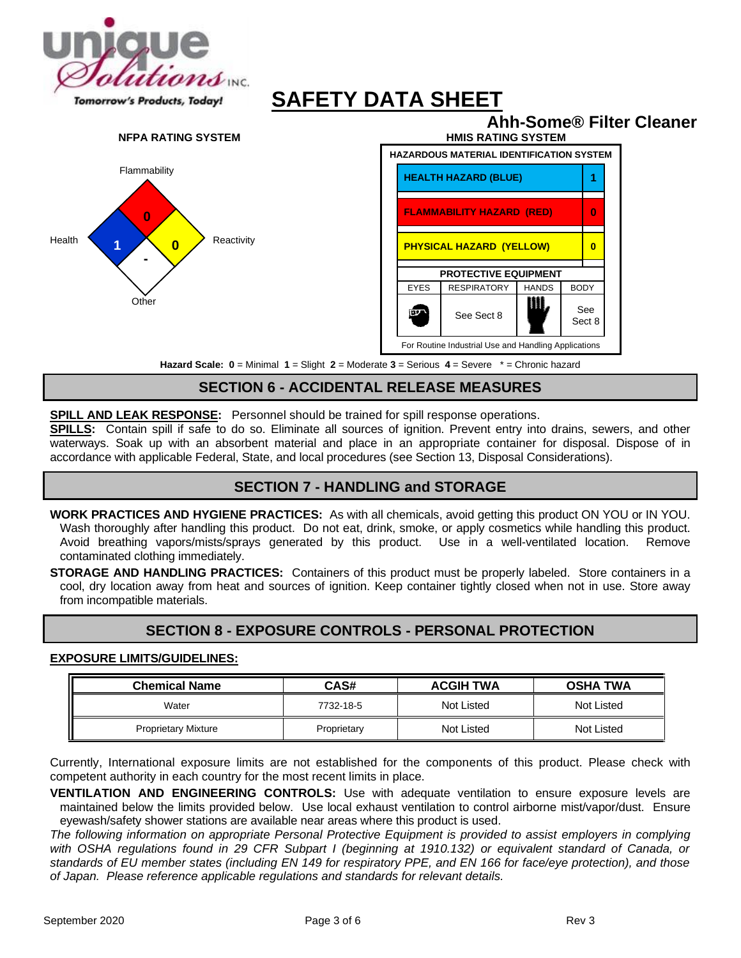



**Hazard Scale: 0** = Minimal **1** = Slight **2** = Moderate **3** = Serious **4** = Severe \* = Chronic hazard

# **SECTION 6 - ACCIDENTAL RELEASE MEASURES**

**SPILL AND LEAK RESPONSE:** Personnel should be trained for spill response operations.

**SPILLS:** Contain spill if safe to do so. Eliminate all sources of ignition. Prevent entry into drains, sewers, and other waterways. Soak up with an absorbent material and place in an appropriate container for disposal. Dispose of in accordance with applicable Federal, State, and local procedures (see Section 13, Disposal Considerations).

#### **SECTION 7 - HANDLING and STORAGE**

**WORK PRACTICES AND HYGIENE PRACTICES:** As with all chemicals, avoid getting this product ON YOU or IN YOU. Wash thoroughly after handling this product. Do not eat, drink, smoke, or apply cosmetics while handling this product. Avoid breathing vapors/mists/sprays generated by this product. Use in a well-ventilated location. Remove contaminated clothing immediately.

**STORAGE AND HANDLING PRACTICES:** Containers of this product must be properly labeled. Store containers in a cool, dry location away from heat and sources of ignition. Keep container tightly closed when not in use. Store away from incompatible materials.

### **SECTION 8 - EXPOSURE CONTROLS - PERSONAL PROTECTION**

#### **EXPOSURE LIMITS/GUIDELINES:**

| <b>Chemical Name</b>       | CAS#        | <b>ACGIH TWA</b> | <b>OSHA TWA</b> |
|----------------------------|-------------|------------------|-----------------|
| Water                      | 7732-18-5   | Not Listed       | Not Listed      |
| <b>Proprietary Mixture</b> | Proprietary | Not Listed       | Not Listed      |

Currently, International exposure limits are not established for the components of this product. Please check with competent authority in each country for the most recent limits in place.

**VENTILATION AND ENGINEERING CONTROLS:** Use with adequate ventilation to ensure exposure levels are maintained below the limits provided below. Use local exhaust ventilation to control airborne mist/vapor/dust. Ensure eyewash/safety shower stations are available near areas where this product is used.

*The following information on appropriate Personal Protective Equipment is provided to assist employers in complying*  with OSHA regulations found in 29 CFR Subpart I (beginning at 1910.132) or equivalent standard of Canada, or *standards of EU member states (including EN 149 for respiratory PPE, and EN 166 for face/eye protection), and those of Japan. Please reference applicable regulations and standards for relevant details.*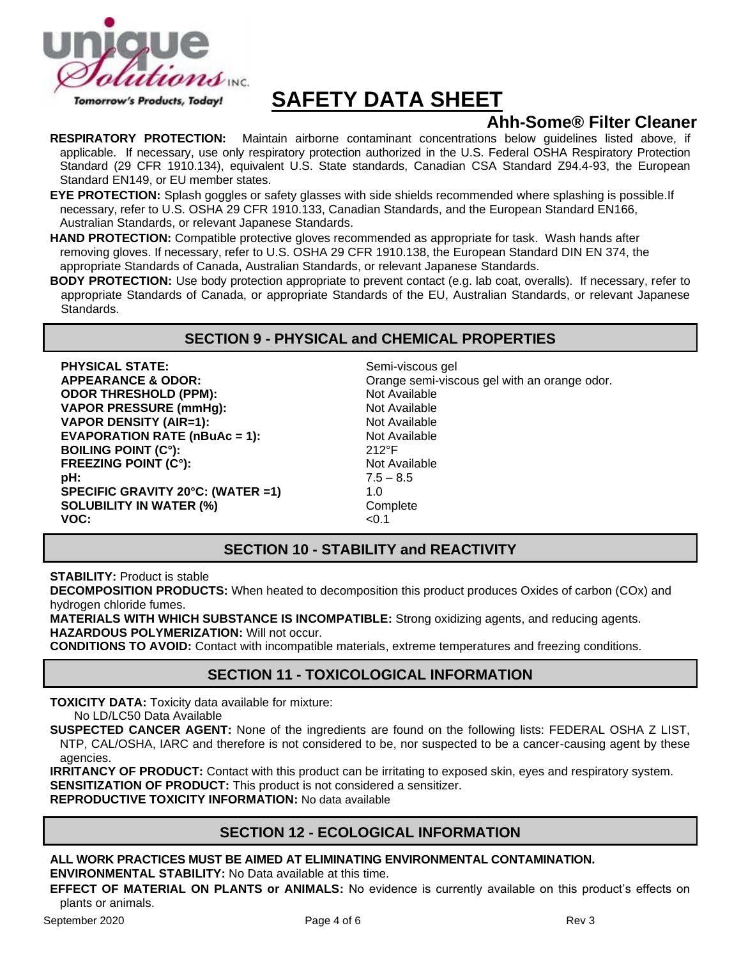

# **Ahh-Some® Filter Cleaner**

**RESPIRATORY PROTECTION:** Maintain airborne contaminant concentrations below guidelines listed above, if applicable. If necessary, use only respiratory protection authorized in the U.S. Federal OSHA Respiratory Protection Standard (29 CFR 1910.134), equivalent U.S. State standards, Canadian CSA Standard Z94.4-93, the European Standard EN149, or EU member states.

**EYE PROTECTION:** Splash goggles or safety glasses with side shields recommended where splashing is possible.If necessary, refer to U.S. OSHA 29 CFR 1910.133, Canadian Standards, and the European Standard EN166, Australian Standards, or relevant Japanese Standards.

**HAND PROTECTION:** Compatible protective gloves recommended as appropriate for task. Wash hands after removing gloves. If necessary, refer to U.S. OSHA 29 CFR 1910.138, the European Standard DIN EN 374, the appropriate Standards of Canada, Australian Standards, or relevant Japanese Standards.

**BODY PROTECTION:** Use body protection appropriate to prevent contact (e.g. lab coat, overalls). If necessary, refer to appropriate Standards of Canada, or appropriate Standards of the EU, Australian Standards, or relevant Japanese Standards.

### **SECTION 9 - PHYSICAL and CHEMICAL PROPERTIES**

**PHYSICAL STATE:** Semi-viscous gel **ODOR THRESHOLD (PPM):** Not Available **VAPOR PRESSURE (mmHg):** Not Available **VAPOR DENSITY (AIR=1):** Not Available **EVAPORATION RATE (nBuAc = 1):** Not Available **BOILING POINT (C°):** 212°F **FREEZING POINT (C°):** Not Available **pH:** 7.5 – 8.5 **SPECIFIC GRAVITY 20°C: (WATER =1)** 1.0 **SOLUBILITY IN WATER (%)** Complete COMPLETE CONSIDENT COMPLETE CO.1 **VOC:** <0.1

**APPEARANCE & ODOR:** Orange semi-viscous gel with an orange odor.

# **SECTION 10 - STABILITY and REACTIVITY**

**STABILITY:** Product is stable

**DECOMPOSITION PRODUCTS:** When heated to decomposition this product produces Oxides of carbon (COx) and hydrogen chloride fumes.

**MATERIALS WITH WHICH SUBSTANCE IS INCOMPATIBLE:** Strong oxidizing agents, and reducing agents. **HAZARDOUS POLYMERIZATION:** Will not occur.

**CONDITIONS TO AVOID:** Contact with incompatible materials, extreme temperatures and freezing conditions.

# **SECTION 11 - TOXICOLOGICAL INFORMATION**

**TOXICITY DATA:** Toxicity data available for mixture: No LD/LC50 Data Available

**SUSPECTED CANCER AGENT:** None of the ingredients are found on the following lists: FEDERAL OSHA Z LIST, NTP, CAL/OSHA, IARC and therefore is not considered to be, nor suspected to be a cancer-causing agent by these agencies.

**IRRITANCY OF PRODUCT:** Contact with this product can be irritating to exposed skin, eyes and respiratory system. **SENSITIZATION OF PRODUCT:** This product is not considered a sensitizer.

**REPRODUCTIVE TOXICITY INFORMATION:** No data available

# **SECTION 12 - ECOLOGICAL INFORMATION**

**ALL WORK PRACTICES MUST BE AIMED AT ELIMINATING ENVIRONMENTAL CONTAMINATION. ENVIRONMENTAL STABILITY:** No Data available at this time.

**EFFECT OF MATERIAL ON PLANTS or ANIMALS:** No evidence is currently available on this product's effects on plants or animals.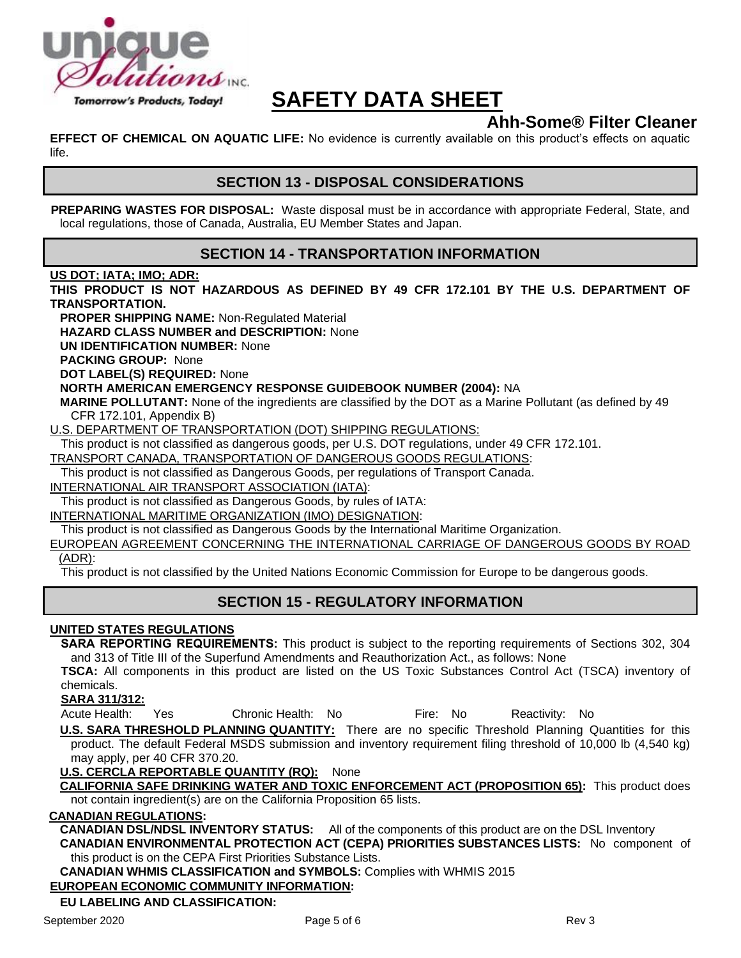

# **Ahh-Some® Filter Cleaner**

**EFFECT OF CHEMICAL ON AQUATIC LIFE:** No evidence is currently available on this product's effects on aquatic life.

# **SECTION 13 - DISPOSAL CONSIDERATIONS**

**PREPARING WASTES FOR DISPOSAL:** Waste disposal must be in accordance with appropriate Federal, State, and local regulations, those of Canada, Australia, EU Member States and Japan.

# **SECTION 14 - TRANSPORTATION INFORMATION**

#### **US DOT; IATA; IMO; ADR:**

**THIS PRODUCT IS NOT HAZARDOUS AS DEFINED BY 49 CFR 172.101 BY THE U.S. DEPARTMENT OF TRANSPORTATION.**

**PROPER SHIPPING NAME:** Non-Regulated Material

**HAZARD CLASS NUMBER and DESCRIPTION:** None

**UN IDENTIFICATION NUMBER:** None

**PACKING GROUP:** None

**DOT LABEL(S) REQUIRED:** None

#### **NORTH AMERICAN EMERGENCY RESPONSE GUIDEBOOK NUMBER (2004):** NA

**MARINE POLLUTANT:** None of the ingredients are classified by the DOT as a Marine Pollutant (as defined by 49 CFR 172.101, Appendix B)

U.S. DEPARTMENT OF TRANSPORTATION (DOT) SHIPPING REGULATIONS:

This product is not classified as dangerous goods, per U.S. DOT regulations, under 49 CFR 172.101.

TRANSPORT CANADA, TRANSPORTATION OF DANGEROUS GOODS REGULATIONS:

This product is not classified as Dangerous Goods, per regulations of Transport Canada.

INTERNATIONAL AIR TRANSPORT ASSOCIATION (IATA):

This product is not classified as Dangerous Goods, by rules of IATA:

INTERNATIONAL MARITIME ORGANIZATION (IMO) DESIGNATION:

This product is not classified as Dangerous Goods by the International Maritime Organization.

EUROPEAN AGREEMENT CONCERNING THE INTERNATIONAL CARRIAGE OF DANGEROUS GOODS BY ROAD (ADR):

This product is not classified by the United Nations Economic Commission for Europe to be dangerous goods.

# **SECTION 15 - REGULATORY INFORMATION**

#### **UNITED STATES REGULATIONS**

**SARA REPORTING REQUIREMENTS:** This product is subject to the reporting requirements of Sections 302, 304 and 313 of Title III of the Superfund Amendments and Reauthorization Act., as follows: None

**TSCA:** All components in this product are listed on the US Toxic Substances Control Act (TSCA) inventory of chemicals.

**SARA 311/312:**

Acute Health: Yes Chronic Health: No Fire: No Reactivity: No

**U.S. SARA THRESHOLD PLANNING QUANTITY:** There are no specific Threshold Planning Quantities for this product. The default Federal MSDS submission and inventory requirement filing threshold of 10,000 lb (4,540 kg) may apply, per 40 CFR 370.20.

**U.S. CERCLA REPORTABLE QUANTITY (RQ):** None

**CALIFORNIA SAFE DRINKING WATER AND TOXIC ENFORCEMENT ACT (PROPOSITION 65):** This product does not contain ingredient(s) are on the California Proposition 65 lists.

#### **CANADIAN REGULATIONS:**

**CANADIAN DSL/NDSL INVENTORY STATUS:** All of the components of this product are on the DSL Inventory **CANADIAN ENVIRONMENTAL PROTECTION ACT (CEPA) PRIORITIES SUBSTANCES LISTS:** No component of

this product is on the CEPA First Priorities Substance Lists.

**CANADIAN WHMIS CLASSIFICATION and SYMBOLS:** Complies with WHMIS 2015

#### **EUROPEAN ECONOMIC COMMUNITY INFORMATION:**

#### **EU LABELING AND CLASSIFICATION:**